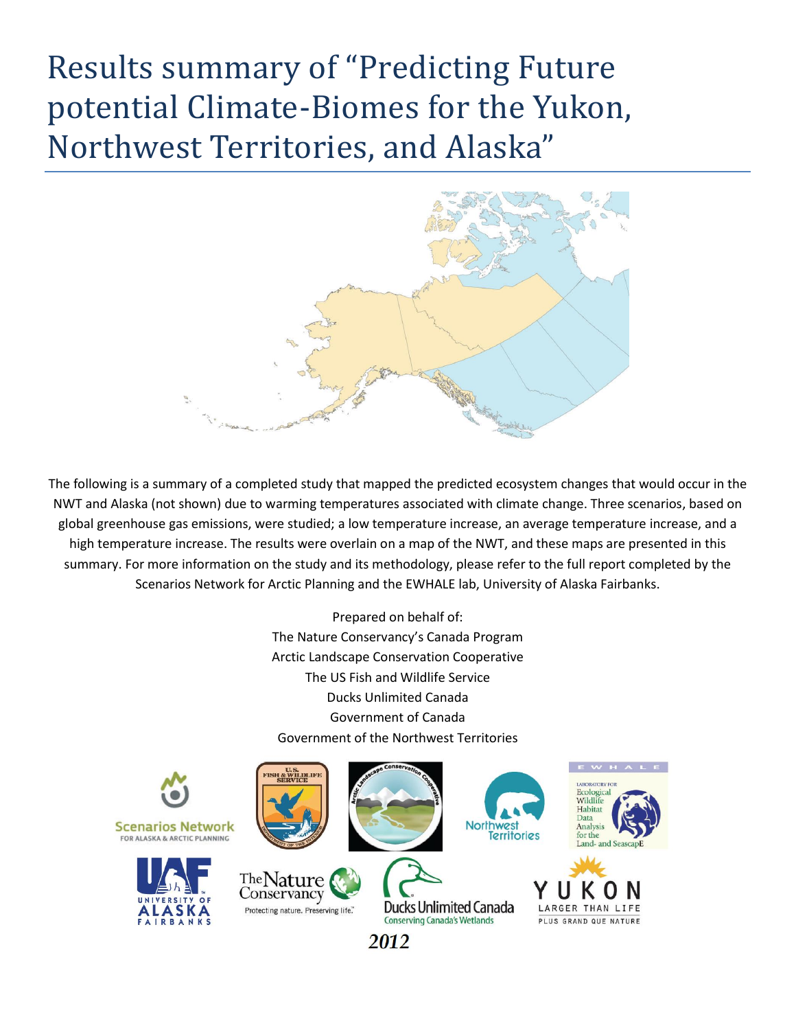## Results summary of "Predicting Future potential Climate-Biomes for the Yukon, Northwest Territories, and Alaska"



The following is a summary of a completed study that mapped the predicted ecosystem changes that would occur in the NWT and Alaska (not shown) due to warming temperatures associated with climate change. Three scenarios, based on global greenhouse gas emissions, were studied; a low temperature increase, an average temperature increase, and a high temperature increase. The results were overlain on a map of the NWT, and these maps are presented in this summary. For more information on the study and its methodology, please refer to the full report completed by the Scenarios Network for Arctic Planning and the EWHALE lab, University of Alaska Fairbanks.

> Prepared on behalf of: The Nature Conservancy's Canada Program Arctic Landscape Conservation Cooperative The US Fish and Wildlife Service Ducks Unlimited Canada Government of Canada Government of the Northwest Territories

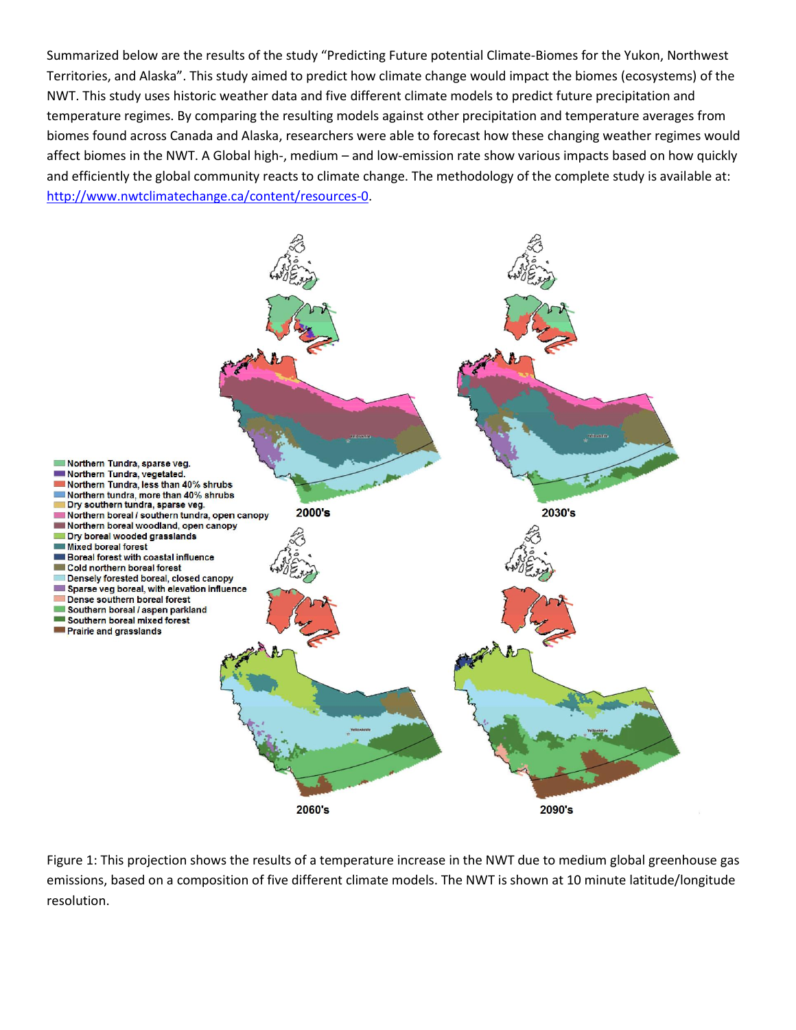Summarized below are the results of the study "Predicting Future potential Climate-Biomes for the Yukon, Northwest Territories, and Alaska". This study aimed to predict how climate change would impact the biomes (ecosystems) of the NWT. This study uses historic weather data and five different climate models to predict future precipitation and temperature regimes. By comparing the resulting models against other precipitation and temperature averages from biomes found across Canada and Alaska, researchers were able to forecast how these changing weather regimes would affect biomes in the NWT. A Global high-, medium – and low-emission rate show various impacts based on how quickly and efficiently the global community reacts to climate change. The methodology of the complete study is available at: [http://www.nwtclimatechange.ca/content/resources-0.](http://www.nwtclimatechange.ca/content/resources-0)



Figure 1: This projection shows the results of a temperature increase in the NWT due to medium global greenhouse gas emissions, based on a composition of five different climate models. The NWT is shown at 10 minute latitude/longitude resolution.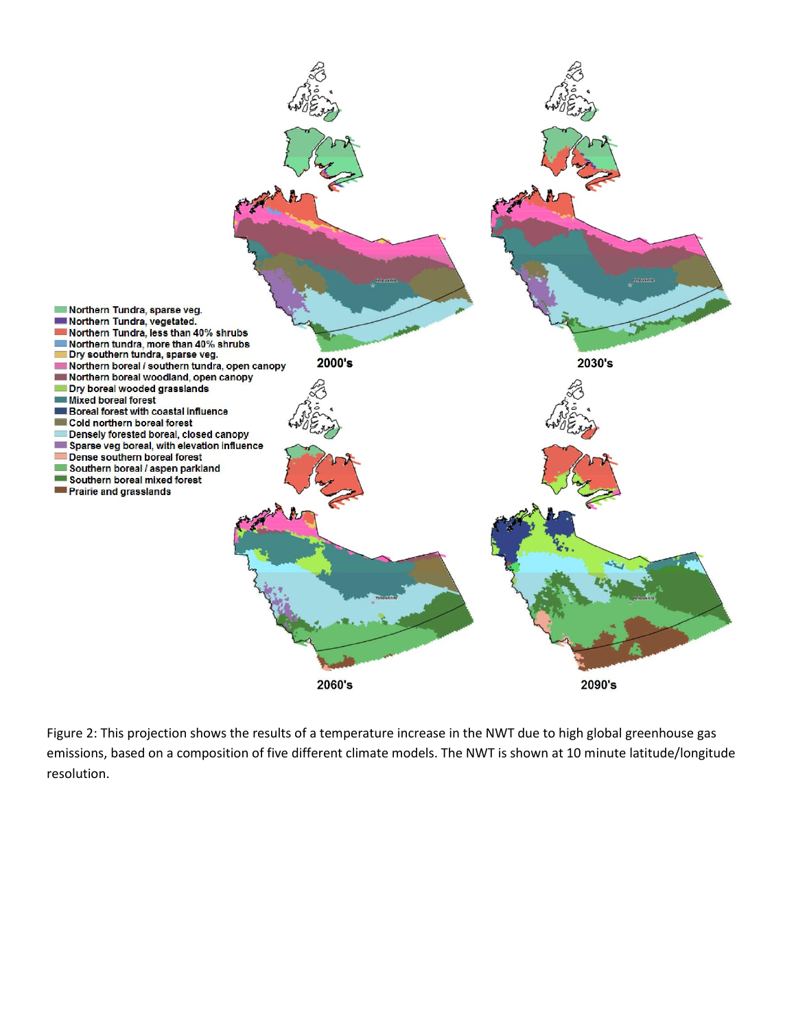

Figure 2: This projection shows the results of a temperature increase in the NWT due to high global greenhouse gas emissions, based on a composition of five different climate models. The NWT is shown at 10 minute latitude/longitude resolution.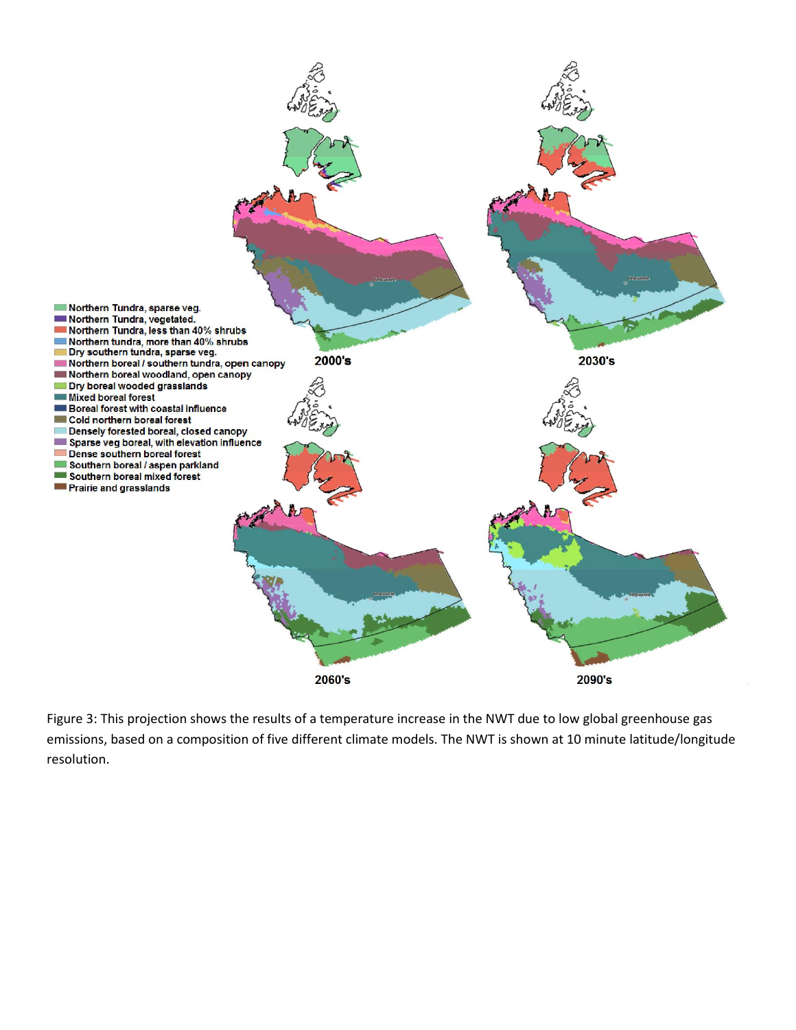

Figure 3: This projection shows the results of a temperature increase in the NWT due to low global greenhouse gas emissions, based on a composition of five different climate models. The NWT is shown at 10 minute latitude/longitude resolution.